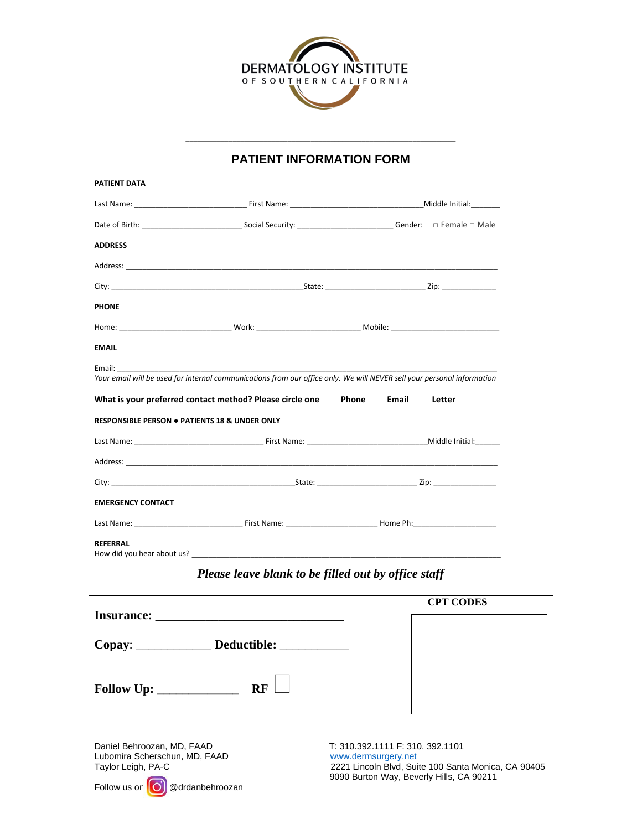

# \_\_\_\_\_\_\_\_\_\_\_\_\_\_\_\_\_\_\_\_\_\_\_\_\_\_\_\_\_\_\_\_\_\_\_\_\_\_\_\_\_\_\_\_\_\_\_\_\_\_\_\_\_\_\_\_\_\_\_\_\_\_\_\_\_\_\_\_\_ **PATIENT INFORMATION FORM**

| <b>PATIENT DATA</b>                                      |                                                                                                                 |                                                                                                                        |  |
|----------------------------------------------------------|-----------------------------------------------------------------------------------------------------------------|------------------------------------------------------------------------------------------------------------------------|--|
|                                                          |                                                                                                                 |                                                                                                                        |  |
|                                                          |                                                                                                                 |                                                                                                                        |  |
| <b>ADDRESS</b>                                           |                                                                                                                 |                                                                                                                        |  |
|                                                          |                                                                                                                 |                                                                                                                        |  |
|                                                          |                                                                                                                 |                                                                                                                        |  |
| <b>PHONE</b>                                             |                                                                                                                 |                                                                                                                        |  |
|                                                          |                                                                                                                 |                                                                                                                        |  |
| <b>EMAIL</b>                                             |                                                                                                                 |                                                                                                                        |  |
| Email:                                                   |                                                                                                                 |                                                                                                                        |  |
|                                                          |                                                                                                                 | Your email will be used for internal communications from our office only. We will NEVER sell your personal information |  |
|                                                          | What is your preferred contact method? Please circle one                                                        | Phone<br>Email<br>Letter                                                                                               |  |
| <b>RESPONSIBLE PERSON . PATIENTS 18 &amp; UNDER ONLY</b> |                                                                                                                 |                                                                                                                        |  |
|                                                          |                                                                                                                 |                                                                                                                        |  |
|                                                          |                                                                                                                 |                                                                                                                        |  |
|                                                          |                                                                                                                 |                                                                                                                        |  |
| <b>EMERGENCY CONTACT</b>                                 |                                                                                                                 |                                                                                                                        |  |
|                                                          |                                                                                                                 |                                                                                                                        |  |
| <b>REFERRAL</b>                                          | How did you hear about us? Letter and the series of the series of the series of the series of the series of the |                                                                                                                        |  |

## *Please leave blank to be filled out by office staff*

|                                                 | <b>CPT CODES</b> |  |  |  |
|-------------------------------------------------|------------------|--|--|--|
| <b>Insurance:</b>                               |                  |  |  |  |
| Copay: ________________ Deductible: ___________ |                  |  |  |  |
| <b>RF</b><br>Follow Up:                         |                  |  |  |  |

Daniel Behroozan, MD, FAAD T: 310.392.1111 F: 310.392.1101 Lubomira Scherschun, MD, FAAD www.dermsurgery.net<br>Taylor Leigh, PA-C 2221 Lincoln Blvd, Sui

Follow us on  $\left[ \text{O} \right]$  @drdanbehroozan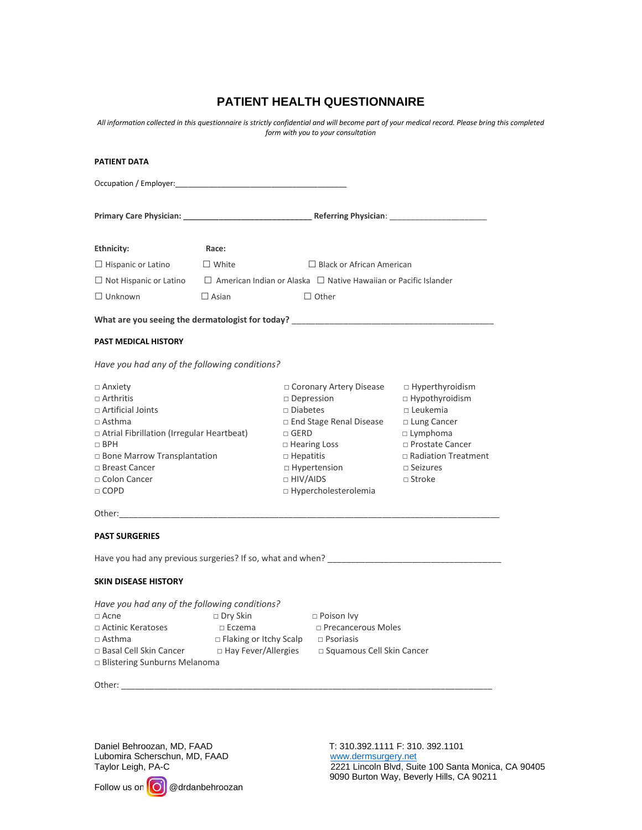### **PATIENT HEALTH QUESTIONNAIRE**

*All information collected in this questionnaire is strictly confidential and will become part of your medical record. Please bring this completed form with you to your consultation*

| <b>PATIENT DATA</b>                                                                                                                                                                                                                  |                                                                             |                                                                                                           |                                                                                                                                                             |                                                                                                                                                                                     |
|--------------------------------------------------------------------------------------------------------------------------------------------------------------------------------------------------------------------------------------|-----------------------------------------------------------------------------|-----------------------------------------------------------------------------------------------------------|-------------------------------------------------------------------------------------------------------------------------------------------------------------|-------------------------------------------------------------------------------------------------------------------------------------------------------------------------------------|
|                                                                                                                                                                                                                                      |                                                                             |                                                                                                           |                                                                                                                                                             |                                                                                                                                                                                     |
|                                                                                                                                                                                                                                      |                                                                             |                                                                                                           |                                                                                                                                                             |                                                                                                                                                                                     |
| Ethnicity:                                                                                                                                                                                                                           | Race:                                                                       |                                                                                                           |                                                                                                                                                             |                                                                                                                                                                                     |
| $\Box$ Hispanic or Latino                                                                                                                                                                                                            | $\Box$ White                                                                | $\Box$ Black or African American                                                                          |                                                                                                                                                             |                                                                                                                                                                                     |
|                                                                                                                                                                                                                                      |                                                                             | $\Box$ Not Hispanic or Latino $\Box$ American Indian or Alaska $\Box$ Native Hawaiian or Pacific Islander |                                                                                                                                                             |                                                                                                                                                                                     |
| $\Box$ Unknown                                                                                                                                                                                                                       | $\Box$ Asian                                                                |                                                                                                           | $\Box$ Other                                                                                                                                                |                                                                                                                                                                                     |
| What are you seeing the dermatologist for today? ________________________________                                                                                                                                                    |                                                                             |                                                                                                           |                                                                                                                                                             |                                                                                                                                                                                     |
| <b>PAST MEDICAL HISTORY</b>                                                                                                                                                                                                          |                                                                             |                                                                                                           |                                                                                                                                                             |                                                                                                                                                                                     |
| Have you had any of the following conditions?                                                                                                                                                                                        |                                                                             |                                                                                                           |                                                                                                                                                             |                                                                                                                                                                                     |
| $\Box$ Anxiety<br>$\Box$ Arthritis<br>□ Artificial Joints<br>$\Box$ Asthma<br>$\Box$ Atrial Fibrillation (Irregular Heartbeat)<br>$\Box$ BPH<br>□ Bone Marrow Transplantation<br>□ Breast Cancer<br>□ Colon Cancer<br>$\Box$ COPD    |                                                                             | $\square$ Diabetes<br>$\Box$ GERD<br>$\Box$ Hepatitis<br>$\Box$ HIV/AIDS                                  | □ Coronary Artery Disease<br>$\square$ Depression<br>$\Box$ End Stage Renal Disease<br>$\Box$ Hearing Loss<br>$\Box$ Hypertension<br>□ Hypercholesterolemia | □ Hyperthyroidism<br>□ Hypothyroidism<br>$\Box$ Leukemia<br>□ Lung Cancer<br>$\Box$ Lymphoma<br>□ Prostate Cancer<br>$\Box$ Radiation Treatment<br>$\Box$ Seizures<br>$\Box$ Stroke |
| Other: when the contract of the contract of the contract of the contract of the contract of the contract of the contract of the contract of the contract of the contract of the contract of the contract of the contract of th       |                                                                             |                                                                                                           |                                                                                                                                                             |                                                                                                                                                                                     |
| <b>PAST SURGERIES</b>                                                                                                                                                                                                                |                                                                             |                                                                                                           |                                                                                                                                                             |                                                                                                                                                                                     |
| Have you had any previous surgeries? If so, what and when?<br>Have you had any previous surgeries? If so, what and when?                                                                                                             |                                                                             |                                                                                                           |                                                                                                                                                             |                                                                                                                                                                                     |
| <b>SKIN DISEASE HISTORY</b>                                                                                                                                                                                                          |                                                                             |                                                                                                           |                                                                                                                                                             |                                                                                                                                                                                     |
| Have you had any of the following conditions?<br>$\sqcap$ Acne<br>$\Box$ Actinic Keratoses<br>$\Box$ Asthma<br>□ Basal Cell Skin Cancer<br>□ Hay Fever/Allergies  □ Squamous Cell Skin Cancer<br>$\Box$ Blistering Sunburns Melanoma | $\square$ Dry Skin<br>$\Box$ Eczema<br>□ Flaking or Itchy Scalp □ Psoriasis |                                                                                                           | $\Box$ Poison Ivy<br>$\Box$ Precancerous Moles                                                                                                              |                                                                                                                                                                                     |

Other: \_\_\_\_\_\_\_\_\_\_\_\_\_\_\_\_\_\_\_\_\_\_\_\_\_\_\_\_\_\_\_\_\_\_\_\_\_\_\_\_\_\_\_\_\_\_\_\_\_\_\_\_\_\_\_\_\_\_\_\_\_\_\_\_\_\_\_\_\_\_\_\_\_\_\_\_\_\_\_

Daniel Behroozan, MD, FAAD T: 310.392.1111 F: 310.392.1101<br>
Lubomira Scherschun, MD, FAAD WWW.dermsurgery.net Lubomira Scherschun, MD, FAAD<br>Taylor Leigh, PA-C

Follow us on  $\boxed{O}$  @drdanbehroozan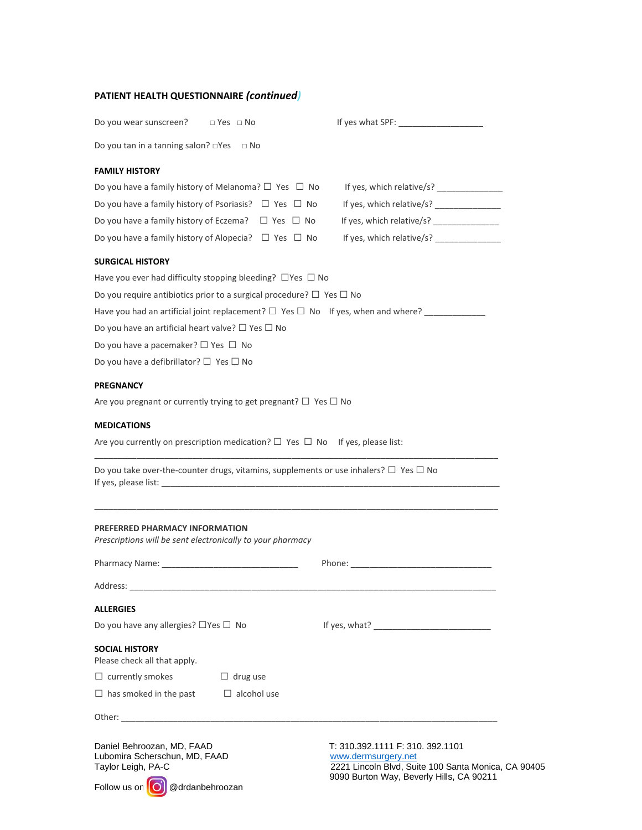#### **PATIENT HEALTH QUESTIONNAIRE** *(continued)*

| Do you wear sunscreen? $\Box$ Yes $\Box$ No                                                                                                                                                                                    |                                                                                                                                                            |
|--------------------------------------------------------------------------------------------------------------------------------------------------------------------------------------------------------------------------------|------------------------------------------------------------------------------------------------------------------------------------------------------------|
| Do you tan in a tanning salon? $\square$ Yes<br>$\Box$ No                                                                                                                                                                      |                                                                                                                                                            |
| <b>FAMILY HISTORY</b>                                                                                                                                                                                                          |                                                                                                                                                            |
| Do you have a family history of Melanoma? $\Box$ Yes $\Box$ No                                                                                                                                                                 | If yes, which relative/s?                                                                                                                                  |
| Do you have a family history of Psoriasis? $\Box$ Yes $\Box$ No                                                                                                                                                                |                                                                                                                                                            |
| Do you have a family history of Eczema? $\Box$ Yes $\Box$ No                                                                                                                                                                   | If yes, which relative/s? _______________                                                                                                                  |
| Do you have a family history of Alopecia? $\Box$ Yes $\Box$ No                                                                                                                                                                 | If yes, which relative/s? ______________                                                                                                                   |
| <b>SURGICAL HISTORY</b>                                                                                                                                                                                                        |                                                                                                                                                            |
| Have you ever had difficulty stopping bleeding? $\Box$ Yes $\Box$ No                                                                                                                                                           |                                                                                                                                                            |
| Do you require antibiotics prior to a surgical procedure? $\Box$ Yes $\Box$ No                                                                                                                                                 |                                                                                                                                                            |
| Have you had an artificial joint replacement? $\Box$ Yes $\Box$ No If yes, when and where?                                                                                                                                     |                                                                                                                                                            |
| Do you have an artificial heart valve? $\square$ Yes $\square$ No                                                                                                                                                              |                                                                                                                                                            |
| Do you have a pacemaker? $\Box$ Yes $\Box$ No                                                                                                                                                                                  |                                                                                                                                                            |
| Do you have a defibrillator? $\Box$ Yes $\Box$ No                                                                                                                                                                              |                                                                                                                                                            |
| <b>PREGNANCY</b>                                                                                                                                                                                                               |                                                                                                                                                            |
| Are you pregnant or currently trying to get pregnant? $\Box$ Yes $\Box$ No                                                                                                                                                     |                                                                                                                                                            |
| <b>MEDICATIONS</b>                                                                                                                                                                                                             |                                                                                                                                                            |
| Are you currently on prescription medication? $\square$ Yes $\square$ No If yes, please list:                                                                                                                                  |                                                                                                                                                            |
| Do you take over-the-counter drugs, vitamins, supplements or use inhalers? $\Box$ Yes $\Box$ No                                                                                                                                |                                                                                                                                                            |
| PREFERRED PHARMACY INFORMATION<br>Prescriptions will be sent electronically to your pharmacy                                                                                                                                   |                                                                                                                                                            |
|                                                                                                                                                                                                                                |                                                                                                                                                            |
| Address:                                                                                                                                                                                                                       |                                                                                                                                                            |
| <b>ALLERGIES</b>                                                                                                                                                                                                               |                                                                                                                                                            |
| Do you have any allergies? $\Box$ Yes $\Box$ No                                                                                                                                                                                |                                                                                                                                                            |
| <b>SOCIAL HISTORY</b><br>Please check all that apply.                                                                                                                                                                          |                                                                                                                                                            |
| $\Box$ currently smokes<br>$\Box$ drug use                                                                                                                                                                                     |                                                                                                                                                            |
| $\Box$ has smoked in the past<br>$\Box$ alcohol use                                                                                                                                                                            |                                                                                                                                                            |
| Other: when the contract of the contract of the contract of the contract of the contract of the contract of the contract of the contract of the contract of the contract of the contract of the contract of the contract of th |                                                                                                                                                            |
| Daniel Behroozan, MD, FAAD<br>Lubomira Scherschun, MD, FAAD<br>Taylor Leigh, PA-C<br>Follow us on<br>@drdanbehroozan                                                                                                           | T: 310.392.1111 F: 310. 392.1101<br>www.dermsurgery.net<br>2221 Lincoln Blvd, Suite 100 Santa Monica, CA 90405<br>9090 Burton Way, Beverly Hills, CA 90211 |